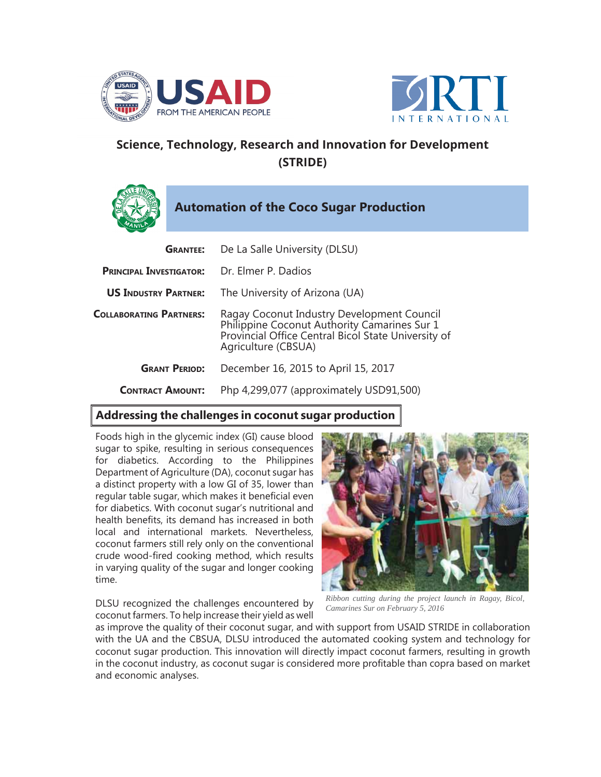



## **Science, Technology, Research and Innovation for Development (STRIDE)**



| <b>GRANTEE:</b>                | De La Salle University (DLSU)                                                                                                                                            |
|--------------------------------|--------------------------------------------------------------------------------------------------------------------------------------------------------------------------|
| <b>PRINCIPAL INVESTIGATOR:</b> | Dr. Elmer P. Dadios                                                                                                                                                      |
| <b>US INDUSTRY PARTNER:</b>    | The University of Arizona (UA)                                                                                                                                           |
| <b>COLLABORATING PARTNERS:</b> | Ragay Coconut Industry Development Council<br>Philippine Coconut Authority Camarines Sur 1<br>Provincial Office Central Bicol State University of<br>Agriculture (CBSUA) |
| <b>GRANT PERIOD:</b>           | December 16, 2015 to April 15, 2017                                                                                                                                      |
| <b>CONTRACT AMOUNT:</b>        | Php 4,299,077 (approximately USD91,500)                                                                                                                                  |
|                                |                                                                                                                                                                          |

## **Addressing the challenges in coconut sugar production**

Foods high in the glycemic index (GI) cause blood sugar to spike, resulting in serious consequences for diabetics. According to the Philippines Department of Agriculture (DA), coconut sugar has a distinct property with a low GI of 35, lower than regular table sugar, which makes it beneficial even for diabetics. With coconut sugar's nutritional and health benefits, its demand has increased in both local and international markets. Nevertheless, coconut farmers still rely only on the conventional crude wood-fired cooking method, which results in varying quality of the sugar and longer cooking time.

DLSU recognized the challenges encountered by coconut farmers. To help increase their yield as well

*Ribbon cutting during the project launch in Ragay, Bicol, Camarines Sur on February 5, 2016*

as improve the quality of their coconut sugar, and with support from USAID STRIDE in collaboration with the UA and the CBSUA, DLSU introduced the automated cooking system and technology for coconut sugar production. This innovation will directly impact coconut farmers, resulting in growth in the coconut industry, as coconut sugar is considered more profitable than copra based on market and economic analyses.